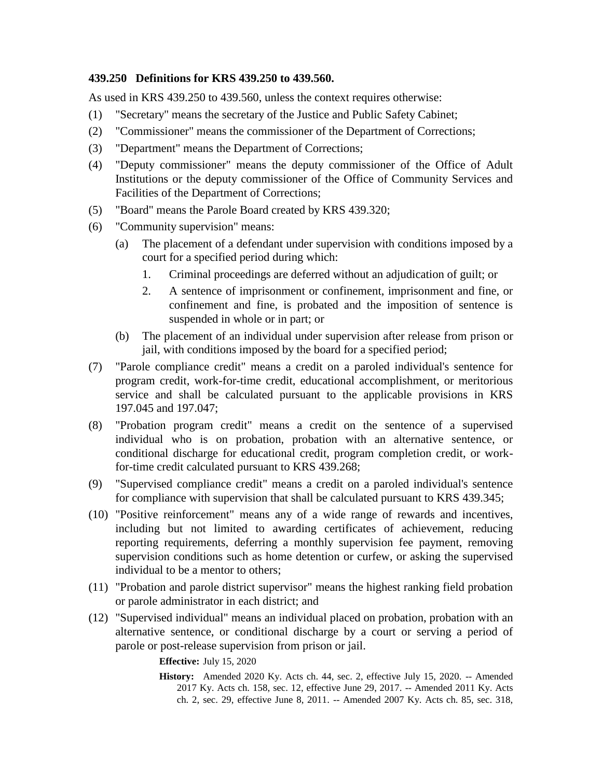## **439.250 Definitions for KRS 439.250 to 439.560.**

As used in KRS 439.250 to 439.560, unless the context requires otherwise:

- (1) "Secretary" means the secretary of the Justice and Public Safety Cabinet;
- (2) "Commissioner" means the commissioner of the Department of Corrections;
- (3) "Department" means the Department of Corrections;
- (4) "Deputy commissioner" means the deputy commissioner of the Office of Adult Institutions or the deputy commissioner of the Office of Community Services and Facilities of the Department of Corrections;
- (5) "Board" means the Parole Board created by KRS 439.320;
- (6) "Community supervision" means:
	- (a) The placement of a defendant under supervision with conditions imposed by a court for a specified period during which:
		- 1. Criminal proceedings are deferred without an adjudication of guilt; or
		- 2. A sentence of imprisonment or confinement, imprisonment and fine, or confinement and fine, is probated and the imposition of sentence is suspended in whole or in part; or
	- (b) The placement of an individual under supervision after release from prison or jail, with conditions imposed by the board for a specified period;
- (7) "Parole compliance credit" means a credit on a paroled individual's sentence for program credit, work-for-time credit, educational accomplishment, or meritorious service and shall be calculated pursuant to the applicable provisions in KRS 197.045 and 197.047;
- (8) "Probation program credit" means a credit on the sentence of a supervised individual who is on probation, probation with an alternative sentence, or conditional discharge for educational credit, program completion credit, or workfor-time credit calculated pursuant to KRS 439.268;
- (9) "Supervised compliance credit" means a credit on a paroled individual's sentence for compliance with supervision that shall be calculated pursuant to KRS 439.345;
- (10) "Positive reinforcement" means any of a wide range of rewards and incentives, including but not limited to awarding certificates of achievement, reducing reporting requirements, deferring a monthly supervision fee payment, removing supervision conditions such as home detention or curfew, or asking the supervised individual to be a mentor to others;
- (11) "Probation and parole district supervisor" means the highest ranking field probation or parole administrator in each district; and
- (12) "Supervised individual" means an individual placed on probation, probation with an alternative sentence, or conditional discharge by a court or serving a period of parole or post-release supervision from prison or jail.

**Effective:** July 15, 2020

**History:** Amended 2020 Ky. Acts ch. 44, sec. 2, effective July 15, 2020. -- Amended 2017 Ky. Acts ch. 158, sec. 12, effective June 29, 2017. -- Amended 2011 Ky. Acts ch. 2, sec. 29, effective June 8, 2011. -- Amended 2007 Ky. Acts ch. 85, sec. 318,